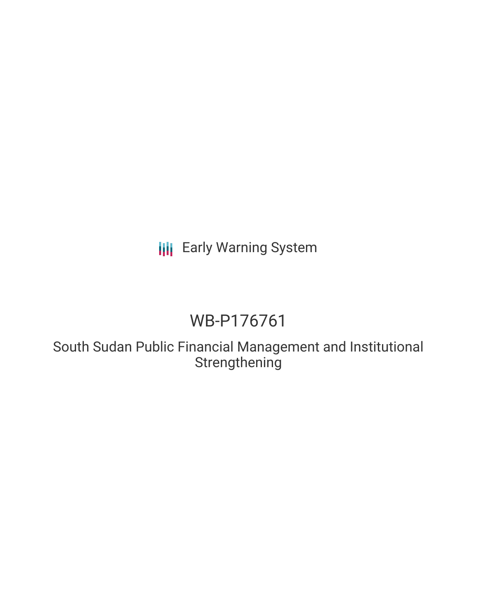# **III** Early Warning System

# WB-P176761

South Sudan Public Financial Management and Institutional Strengthening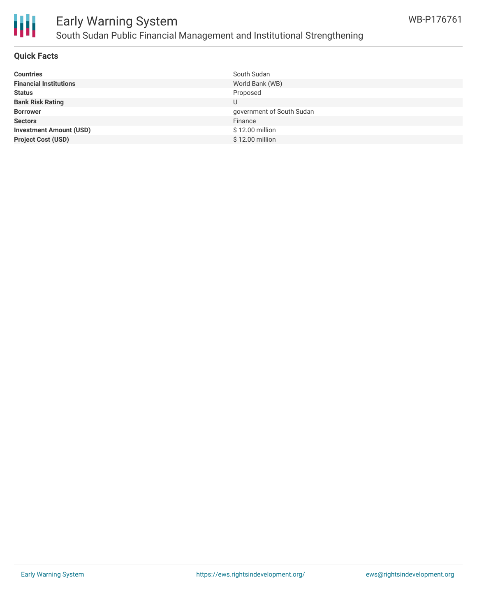

## Early Warning System South Sudan Public Financial Management and Institutional Strengthening

### **Quick Facts**

| <b>Countries</b>               | South Sudan               |
|--------------------------------|---------------------------|
| <b>Financial Institutions</b>  | World Bank (WB)           |
| <b>Status</b>                  | Proposed                  |
| <b>Bank Risk Rating</b>        |                           |
| <b>Borrower</b>                | government of South Sudan |
| <b>Sectors</b>                 | Finance                   |
| <b>Investment Amount (USD)</b> | \$12.00 million           |
| <b>Project Cost (USD)</b>      | \$12.00 million           |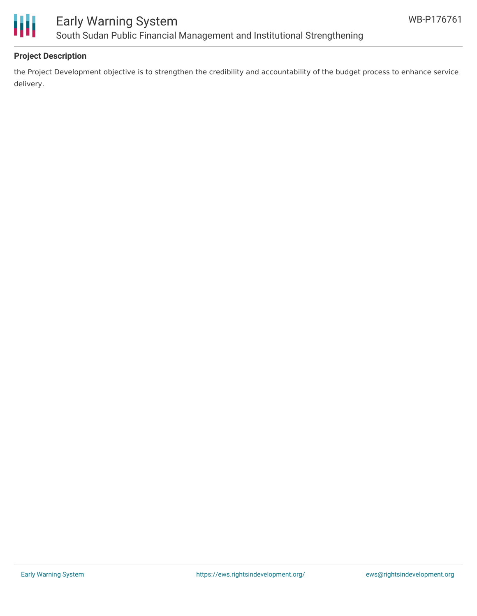

## Early Warning System South Sudan Public Financial Management and Institutional Strengthening

### **Project Description**

the Project Development objective is to strengthen the credibility and accountability of the budget process to enhance service delivery.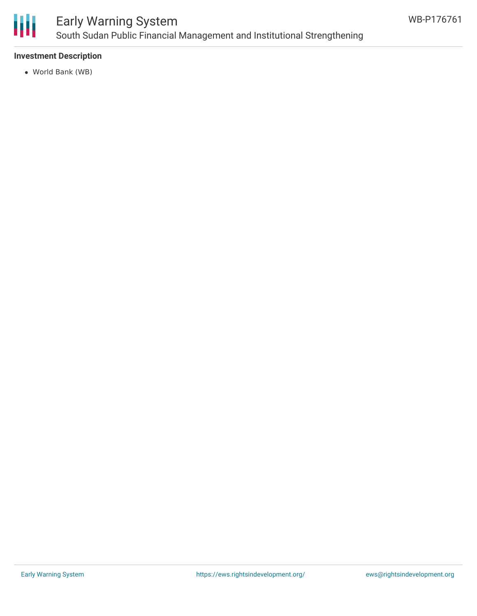

## Early Warning System South Sudan Public Financial Management and Institutional Strengthening

### **Investment Description**

World Bank (WB)